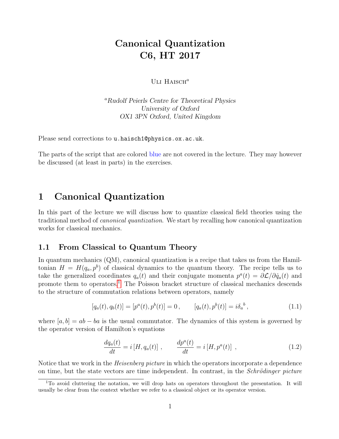# Canonical Quantization C6, HT 2017

ULI  $H$ AISCH $^a$ 

<sup>a</sup>Rudolf Peierls Centre for Theoretical Physics University of Oxford OX1 3PN Oxford, United Kingdom

Please send corrections to u.haisch1@physics.ox.ac.uk.

The parts of the script that are colored blue are not covered in the lecture. They may however be discussed (at least in parts) in the exercises.

## 1 Canonical Quantization

In this part of the lecture we will discuss how to quantize classical field theories using the traditional method of canonical quantization. We start by recalling how canonical quantization works for classical mechanics.

## 1.1 From Classical to Quantum Theory

In quantum mechanics (QM), canonical quantization is a recipe that takes us from the Hamiltonian  $H = H(q_a, p^b)$  of classical dynamics to the quantum theory. The recipe tells us to take the generalized coordinates  $q_a(t)$  and their conjugate momenta  $p^a(t) = \partial \mathcal{L}/\partial \dot{q}_a(t)$  and promote them to operators.<sup>[1](#page-0-0)</sup> The Poisson bracket structure of classical mechanics descends to the structure of commutation relations between operators, namely

<span id="page-0-1"></span>
$$
[q_a(t), q_b(t)] = [p^a(t), p^b(t)] = 0, \qquad [q_a(t), p^b(t)] = i\delta_a^b,
$$
\n(1.1)

where  $[a, b] = ab - ba$  is the usual commutator. The dynamics of this system is governed by the operator version of Hamilton's equations

<span id="page-0-2"></span>
$$
\frac{dq_a(t)}{dt} = i[H, q_a(t)], \qquad \frac{dp^a(t)}{dt} = i[H, p^a(t)], \qquad (1.2)
$$

Notice that we work in the *Heisenberg picture* in which the operators incorporate a dependence on time, but the state vectors are time independent. In contrast, in the *Schrödinger picture* 

<span id="page-0-0"></span><sup>1</sup>To avoid cluttering the notation, we will drop hats on operators throughout the presentation. It will usually be clear from the context whether we refer to a classical object or its operator version.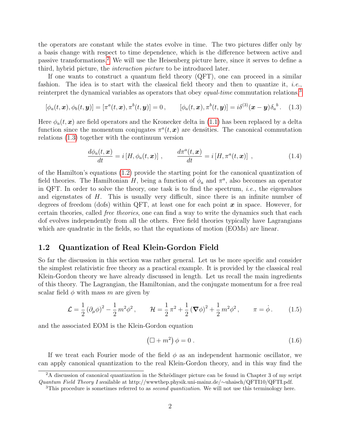the operators are constant while the states evolve in time. The two pictures differ only by a basis change with respect to time dependence, which is the difference between active and passive transformations.[2](#page-1-0) We will use the Heisenberg picture here, since it serves to define a third, hybrid picture, the interaction picture to be introduced later.

If one wants to construct a quantum field theory (QFT), one can proceed in a similar fashion. The idea is to start with the classical field theory and then to quantize it, *i.e.*, reinterpret the dynamical variables as operators that obey *equal-time* commutation relations,<sup>[3](#page-1-1)</sup>

<span id="page-1-2"></span>
$$
[\phi_a(t,\boldsymbol{x}),\phi_b(t,\boldsymbol{y})]=[\pi^a(t,\boldsymbol{x}),\pi^b(t,\boldsymbol{y})]=0\,,\qquad [\phi_a(t,\boldsymbol{x}),\pi^b(t,\boldsymbol{y})]=i\delta^{(3)}(\boldsymbol{x}-\boldsymbol{y})\delta_a^b\,. \tag{1.3}
$$

Here  $\phi_a(t, x)$  are field operators and the Kronecker delta in [\(1.1\)](#page-0-1) has been replaced by a delta function since the momentum conjugates  $\pi^a(t, x)$  are densities. The canonical commutation relations [\(1.3\)](#page-1-2) together with the continuum version

$$
\frac{d\phi_a(t,\mathbf{x})}{dt} = i[H, \phi_a(t,\mathbf{x})], \qquad \frac{d\pi^a(t,\mathbf{x})}{dt} = i[H, \pi^a(t,\mathbf{x})], \qquad (1.4)
$$

of the Hamilton's equations [\(1.2\)](#page-0-2) provide the starting point for the canonical quantization of field theories. The Hamiltonian H, being a function of  $\phi_a$  and  $\pi^a$ , also becomes an operator in QFT. In order to solve the theory, one task is to find the spectrum, i.e., the eigenvalues and eigenstates of  $H$ . This is usually very difficult, since there is an infinite number of degrees of freedom (dofs) within QFT, at least one for each point  $x$  in space. However, for certain theories, called free theories, one can find a way to write the dynamics such that each dof evolves independently from all the others. Free field theories typically have Lagrangians which are quadratic in the fields, so that the equations of motion (EOMs) are linear.

## 1.2 Quantization of Real Klein-Gordon Field

So far the discussion in this section was rather general. Let us be more specific and consider the simplest relativistic free theory as a practical example. It is provided by the classical real Klein-Gordon theory we have already discussed in length. Let us recall the main ingredients of this theory. The Lagrangian, the Hamiltonian, and the conjugate momentum for a free real scalar field  $\phi$  with mass m are given by

$$
\mathcal{L} = \frac{1}{2} \left( \partial_{\mu} \phi \right)^2 - \frac{1}{2} m^2 \phi^2, \qquad \mathcal{H} = \frac{1}{2} \pi^2 + \frac{1}{2} \left( \nabla \phi \right)^2 + \frac{1}{2} m^2 \phi^2, \qquad \pi = \dot{\phi}. \tag{1.5}
$$

and the associated EOM is the Klein-Gordon equation

<span id="page-1-3"></span>
$$
\left(\Box + m^2\right)\phi = 0\ .\tag{1.6}
$$

If we treat each Fourier mode of the field  $\phi$  as an independent harmonic oscillator, we can apply canonical quantization to the real Klein-Gordon theory, and in this way find the

<span id="page-1-0"></span> $2A$  discussion of canonical quantization in the Schrödinger picture can be found in Chapter 3 of my script Quantum Field Theory I available at http://wwwthep.physik.uni-mainz.de/∼uhaisch/QFTI10/QFTI.pdf.

<span id="page-1-1"></span><sup>&</sup>lt;sup>3</sup>This procedure is sometimes referred to as *second quantization*. We will not use this terminology here.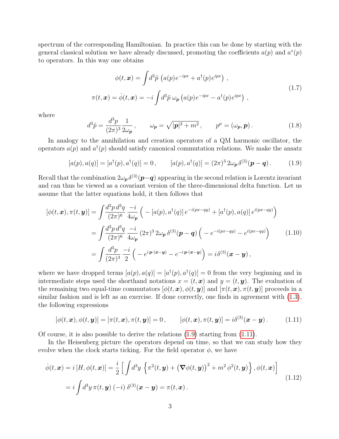spectrum of the corresponding Hamiltonian. In practice this can be done by starting with the general classical solution we have already discussed, promoting the coefficients  $a(p)$  and  $a^*(p)$ to operators. In this way one obtains

$$
\phi(t, \mathbf{x}) = \int d^3 \tilde{p} \left( a(p) e^{-ipx} + a^\dagger(p) e^{ipx} \right) ,
$$
  

$$
\pi(t, \mathbf{x}) = \dot{\phi}(t, \mathbf{x}) = -i \int d^3 \tilde{p} \omega_{\mathbf{p}} \left( a(p) e^{-ipx} - a^\dagger(p) e^{ipx} \right) ,
$$
 (1.7)

<span id="page-2-3"></span>where

<span id="page-2-4"></span>
$$
d^3\tilde{p} = \frac{d^3p}{(2\pi)^3} \frac{1}{2\omega_p}, \qquad \omega_p = \sqrt{|\mathbf{p}|^2 + m^2}, \qquad p^\mu = (\omega_p, \mathbf{p}). \tag{1.8}
$$

In analogy to the annihilation and creation operators of a QM harmonic oscillator, the operators  $a(p)$  and  $a^{\dagger}(p)$  should satisfy canonical commutation relations. We make the ansatz

<span id="page-2-0"></span>
$$
[a(p), a(q)] = [a^{\dagger}(p), a^{\dagger}(q)] = 0, \qquad [a(p), a^{\dagger}(q)] = (2\pi)^3 2\omega_p \delta^{(3)}(p - q). \tag{1.9}
$$

Recall that the combination  $2\omega_{\bm{p}}\delta^{(3)}(\bm{p}-\bm{q})$  appearing in the second relation is Lorentz invariant and can thus be viewed as a covariant version of the three-dimensional delta function. Let us assume that the latter equations hold, it then follows that

$$
[\phi(t, \mathbf{x}), \pi(t, \mathbf{y})] = \int \frac{d^3 p \, d^3 q}{(2\pi)^6} \frac{-i}{4\omega_p} \left( -\left[ a(p), a^\dagger(q) \right] e^{-i(px - qy)} + \left[ a^\dagger(p), a(q) \right] e^{i(px - qy)} \right)
$$
  
\n
$$
= \int \frac{d^3 p \, d^3 q}{(2\pi)^6} \frac{-i}{4\omega_p} (2\pi)^3 2\omega_p \, \delta^{(3)}(\mathbf{p} - \mathbf{q}) \left( -e^{-i(px - qy)} - e^{i(px - qy)} \right) \qquad (1.10)
$$
  
\n
$$
= \int \frac{d^3 p}{(2\pi)^3} \frac{-i}{2} \left( -e^{i \mathbf{p} \cdot (\mathbf{x} - \mathbf{y})} - e^{-i \mathbf{p} \cdot (\mathbf{x} - \mathbf{y})} \right) = i \delta^{(3)}(\mathbf{x} - \mathbf{y}),
$$

where we have dropped terms  $[a(p), a(q)] = [a^{\dagger}(p), a^{\dagger}(q)] = 0$  from the very beginning and in intermediate steps used the shorthand notations  $x = (t, x)$  and  $y = (t, y)$ . The evaluation of the remaining two equal-time commutators  $[\phi(t, x), \phi(t, y)]$  and  $[\pi(t, x), \pi(t, y)]$  proceeds in a similar fashion and is left as an exercise. If done correctly, one finds in agreement with [\(1.3\)](#page-1-2), the following expressions

<span id="page-2-1"></span>
$$
[\phi(t,\boldsymbol{x}),\phi(t,\boldsymbol{y})]=[\pi(t,\boldsymbol{x}),\pi(t,\boldsymbol{y})]=0\,,\qquad [\phi(t,\boldsymbol{x}),\pi(t,\boldsymbol{y})]=i\delta^{(3)}(\boldsymbol{x}-\boldsymbol{y})\,.
$$
 (1.11)

Of course, it is also possible to derive the relations [\(1.9\)](#page-2-0) starting from [\(1.11\)](#page-2-1).

In the Heisenberg picture the operators depend on time, so that we can study how they evolve when the clock starts ticking. For the field operator  $\phi$ , we have

<span id="page-2-2"></span>
$$
\dot{\phi}(t, \mathbf{x}) = i [H, \phi(t, \mathbf{x})] = \frac{i}{2} \left[ \int d^3 y \left\{ \pi^2(t, \mathbf{y}) + \left( \nabla \phi(t, \mathbf{y}) \right)^2 + m^2 \phi^2(t, \mathbf{y}) \right\}, \phi(t, \mathbf{x}) \right]
$$
\n
$$
= i \int d^3 y \, \pi(t, \mathbf{y}) (-i) \, \delta^{(3)}(\mathbf{x} - \mathbf{y}) = \pi(t, \mathbf{x}). \tag{1.12}
$$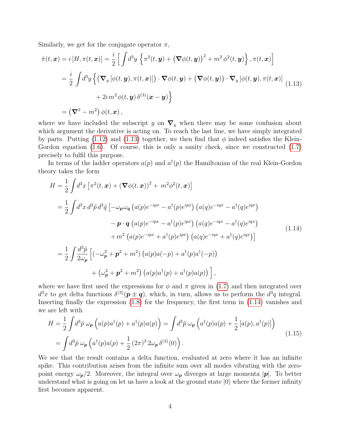Similarly, we get for the conjugate operator  $\pi$ ,

<span id="page-3-0"></span>
$$
\dot{\pi}(t, \mathbf{x}) = i [H, \pi(t, \mathbf{x})] = \frac{i}{2} \left[ \int d^3 y \left\{ \pi^2(t, \mathbf{y}) + (\nabla \phi(t, \mathbf{y}))^2 + m^2 \phi^2(t, \mathbf{y}) \right\}, \pi(t, \mathbf{x}) \right]
$$
  
\n
$$
= \frac{i}{2} \int d^3 y \left\{ (\nabla_y [\phi(t, \mathbf{y}), \pi(t, \mathbf{x})]) \cdot \nabla \phi(t, \mathbf{y}) + (\nabla \phi(t, \mathbf{y})) \cdot \nabla_y [\phi(t, \mathbf{y}), \pi(t, \mathbf{x})] \right\}
$$
  
\n
$$
+ 2i m^2 \phi(t, \mathbf{y}) \delta^{(3)}(\mathbf{x} - \mathbf{y}) \right\}
$$
  
\n
$$
= (\nabla^2 - m^2) \phi(t, \mathbf{x}),
$$
 (1.13)

where we have included the subscript y on  $\nabla_y$  when there may be some confusion about which argument the derivative is acting on. To reach the last line, we have simply integrated by parts. Putting [\(1.12\)](#page-2-2) and [\(1.13\)](#page-3-0) together, we then find that  $\phi$  indeed satisfies the Klein-Gordon equation  $(1.6)$ . Of course, this is only a sanity check, since we constructed  $(1.7)$ precisely to fulfil this purpose.

In terms of the ladder operators  $a(p)$  and  $a^{\dagger}(p)$  the Hamiltonian of the real Klein-Gordon theory takes the form

<span id="page-3-1"></span>
$$
H = \frac{1}{2} \int d^3x \left[ \pi^2(t, \mathbf{x}) + (\nabla \phi(t, \mathbf{x}))^2 + m^2 \phi^2(t, \mathbf{x}) \right]
$$
  
\n
$$
= \frac{1}{2} \int d^3x \, d^3\tilde{p} \, d^3\tilde{q} \left[ -\omega_p \omega_q \left( a(p)e^{-ipx} - a^\dagger(p)e^{ipx} \right) \left( a(q)e^{-iqx} - a^\dagger(q)e^{iqx} \right) \right.
$$
  
\n
$$
- \mathbf{p} \cdot \mathbf{q} \left( a(p)e^{-ipx} - a^\dagger(p)e^{ipx} \right) \left( a(q)e^{-iqx} - a^\dagger(q)e^{iqx} \right)
$$
  
\n
$$
+ m^2 \left( a(p)e^{-ipx} + a^\dagger(p)e^{ipx} \right) \left( a(q)e^{-iqx} + a^\dagger(q)e^{iqx} \right)
$$
  
\n
$$
= \frac{1}{2} \int \frac{d^3\tilde{p}}{2\omega_p} \left[ (-\omega_p^2 + \mathbf{p}^2 + m^2) \left( a(p)a(-p) + a^\dagger(p)a^\dagger(-p) \right) \right.
$$
  
\n
$$
+ (\omega_p^2 + \mathbf{p}^2 + m^2) \left( a(p)a^\dagger(p) + a^\dagger(p)a(p) \right),
$$
 (1.14)

where we have first used the expressions for  $\phi$  and  $\pi$  given in [\(1.7\)](#page-2-3) and then integrated over  $d^3x$  to get delta functions  $\delta^{(3)}(p \pm q)$ , which, in turn, allows us to perform the  $d^3q$  integral. Inserting finally the expression  $(1.8)$  for the frequency, the first term in  $(1.14)$  vanishes and we are left with

<span id="page-3-2"></span>
$$
H = \frac{1}{2} \int d^3 \tilde{p} \,\omega_{\mathbf{p}} \left( a(p) a^{\dagger}(p) + a^{\dagger}(p) a(p) \right) = \int d^3 \tilde{p} \,\omega_{\mathbf{p}} \left( a^{\dagger}(p) a(p) + \frac{1}{2} \left[ a(p), a^{\dagger}(p) \right] \right)
$$
  
= 
$$
\int d^3 \tilde{p} \,\omega_{\mathbf{p}} \left( a^{\dagger}(p) a(p) + \frac{1}{2} \left( 2\pi \right)^3 2\omega_{\mathbf{p}} \,\delta^{(3)}(0) \right).
$$
 (1.15)

We see that the result contains a delta function, evaluated at zero where it has an infinite spike. This contribution arises from the infinite sum over all modes vibrating with the zeropoint energy  $\omega_p/2$ . Moreover, the integral over  $\omega_p$  diverges at large momenta  $|\mathbf{p}|$ . To better understand what is going on let us have a look at the ground state  $|0\rangle$  where the former infinity first becomes apparent.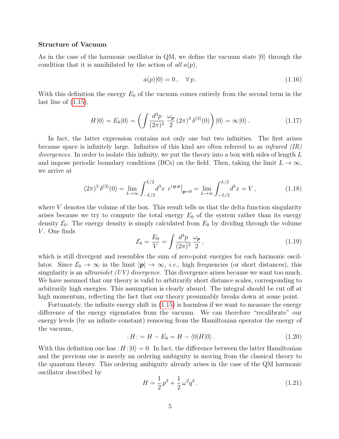#### Structure of Vacuum

As in the case of the harmonic oscillator in QM, we define the vacuum state  $|0\rangle$  through the condition that it is annihilated by the action of all  $a(p)$ ,

$$
a(p)|0\rangle = 0, \quad \forall p. \tag{1.16}
$$

With this definition the energy  $E_0$  of the vacuum comes entirely from the second term in the last line of [\(1.15\)](#page-3-2),

$$
H|0\rangle = E_0|0\rangle = \left(\int \frac{d^3p}{(2\pi)^3} \frac{\omega_p}{2} (2\pi)^3 \,\delta^{(3)}(0)\right)|0\rangle = \infty|0\rangle. \tag{1.17}
$$

In fact, the latter expression contains not only one but two infinities. The first arises because space is infinitely large. Infinities of this kind are often referred to as *infrared*  $(IR)$ divergences. In order to isolate this infinity, we put the theory into a box with sides of length  $L$ and impose periodic boundary conditions (BCs) on the field. Then, taking the limit  $L \to \infty$ , we arrive at

$$
(2\pi)^3 \,\delta^{(3)}(0) = \lim_{L \to \infty} \int_{-L/2}^{L/2} d^3x \, e^{i\mathbf{p} \cdot \mathbf{x}} \Big|_{\mathbf{p}=0} = \lim_{L \to \infty} \int_{-L/2}^{L/2} d^3x = V \,, \tag{1.18}
$$

where  $V$  denotes the volume of the box. This result tells us that the delta function singularity arises because we try to compute the total energy  $E_0$  of the system rather than its energy density  $\mathcal{E}_0$ . The energy density is simply calculated from  $E_0$  by dividing through the volume V. One finds

$$
\mathcal{E}_0 = \frac{E_0}{V} = \int \frac{d^3 p}{(2\pi)^3} \frac{\omega_p}{2},\tag{1.19}
$$

which is still divergent and resembles the sum of zero-point energies for each harmonic oscillator. Since  $\mathcal{E}_0 \to \infty$  in the limit  $|\mathbf{p}| \to \infty$ , *i.e.*, high frequencies (or short distances), this singularity is an *ultraviolet (UV) divergence*. This divergence arises because we want too much. We have assumed that our theory is valid to arbitrarily short distance scales, corresponding to arbitrarily high energies. This assumption is clearly absurd. The integral should be cut off at high momentum, reflecting the fact that our theory presumably breaks down at some point.

Fortunately, the infinite energy shift in [\(1.15\)](#page-3-2) is harmless if we want to measure the energy difference of the energy eigenstates from the vacuum. We can therefore "recalibrate" our energy levels (by an infinite constant) removing from the Hamiltonian operator the energy of the vacuum,

$$
:H: = H - E_0 = H - \langle 0|H|0 \rangle. \tag{1.20}
$$

With this definition one has :  $H$  :  $|0\rangle = 0$ . In fact, the difference between the latter Hamiltonian and the previous one is merely an ordering ambiguity in moving from the classical theory to the quantum theory. This ordering ambiguity already arises in the case of the QM harmonic oscillator described by

<span id="page-4-0"></span>
$$
H = \frac{1}{2}p^2 + \frac{1}{2}\omega^2 q^2.
$$
 (1.21)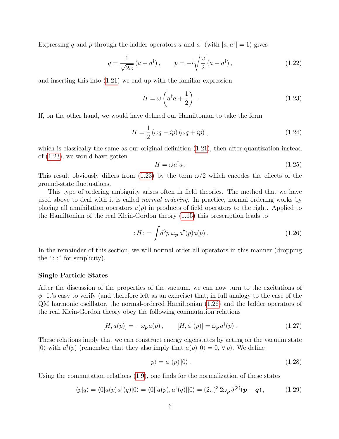Expressing q and p through the ladder operators a and  $a^{\dagger}$  (with  $[a, a^{\dagger}] = 1$ ) gives

$$
q = \frac{1}{\sqrt{2\omega}} \left( a + a^{\dagger} \right), \qquad p = -i \sqrt{\frac{\omega}{2}} \left( a - a^{\dagger} \right), \tag{1.22}
$$

and inserting this into [\(1.21\)](#page-4-0) we end up with the familiar expression

<span id="page-5-0"></span>
$$
H = \omega \left( a^{\dagger} a + \frac{1}{2} \right) . \tag{1.23}
$$

If, on the other hand, we would have defined our Hamiltonian to take the form

$$
H = \frac{1}{2} \left( \omega q - ip \right) \left( \omega q + ip \right) , \qquad (1.24)
$$

which is classically the same as our original definition [\(1.21\)](#page-4-0), then after quantization instead of [\(1.23\)](#page-5-0), we would have gotten

$$
H = \omega a^{\dagger} a. \tag{1.25}
$$

This result obviously differs from  $(1.23)$  by the term  $\omega/2$  which encodes the effects of the ground-state fluctuations.

This type of ordering ambiguity arises often in field theories. The method that we have used above to deal with it is called *normal ordering*. In practice, normal ordering works by placing all annihilation operators  $a(p)$  in products of field operators to the right. Applied to the Hamiltonian of the real Klein-Gordon theory [\(1.15\)](#page-3-2) this prescription leads to

<span id="page-5-1"></span>
$$
:H: = \int d^3 \tilde{p} \,\omega_{\mathbf{p}} \, a^\dagger(p) a(p) \,. \tag{1.26}
$$

In the remainder of this section, we will normal order all operators in this manner (dropping the ": :" for simplicity).

#### Single-Particle States

After the discussion of the properties of the vacuum, we can now turn to the excitations of  $\phi$ . It's easy to verify (and therefore left as an exercise) that, in full analogy to the case of the QM harmonic oscillator, the normal-ordered Hamiltonian [\(1.26\)](#page-5-1) and the ladder operators of the real Klein-Gordon theory obey the following commutation relations

$$
[H, a(p)] = -\omega_{\mathbf{p}} a(p), \qquad [H, a^{\dagger}(p)] = \omega_{\mathbf{p}} a^{\dagger}(p). \qquad (1.27)
$$

These relations imply that we can construct energy eigenstates by acting on the vacuum state  $|0\rangle$  with  $a^{\dagger}(p)$  (remember that they also imply that  $a(p)|0\rangle = 0, \forall p$ ). We define

<span id="page-5-2"></span>
$$
|p\rangle = a^{\dagger}(p)|0\rangle. \tag{1.28}
$$

Using the commutation relations [\(1.9\)](#page-2-0), one finds for the normalization of these states

$$
\langle p|q\rangle = \langle 0|a(p)a^{\dagger}(q)|0\rangle = \langle 0|[a(p),a^{\dagger}(q)]|0\rangle = (2\pi)^{3} 2\omega_{\mathbf{p}} \delta^{(3)}(\mathbf{p}-\mathbf{q}) ,\qquad (1.29)
$$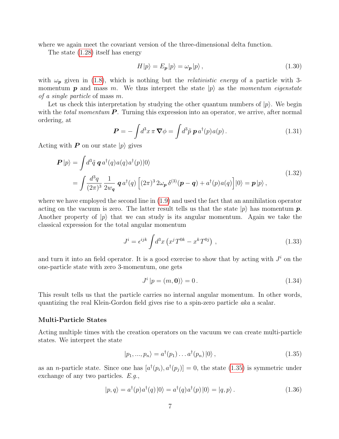where we again meet the covariant version of the three-dimensional delta function.

The state [\(1.28\)](#page-5-2) itself has energy

$$
H|p\rangle = E_p|p\rangle = \omega_p|p\rangle, \qquad (1.30)
$$

with  $\omega_p$  given in [\(1.8\)](#page-2-4), which is nothing but the *relativistic energy* of a particle with 3momentum **p** and mass m. We thus interpret the state  $|p\rangle$  as the momentum eigenstate of a single particle of mass m.

Let us check this interpretation by studying the other quantum numbers of  $|p\rangle$ . We begin with the *total momentum*  $\boldsymbol{P}$ . Turning this expression into an operator, we arrive, after normal ordering, at

$$
\boldsymbol{P} = -\int d^3x \,\pi \,\nabla \phi = \int d^3\tilde{p} \,\,\boldsymbol{p} \,a^\dagger(p)a(p) \,. \tag{1.31}
$$

Acting with **P** on our state  $|p\rangle$  gives

$$
\mathbf{P}|p\rangle = \int d^3 \tilde{q} \, \mathbf{q} \, a^\dagger(q) a(q) a^\dagger(p) |0\rangle
$$
\n
$$
= \int \frac{d^3 q}{(2\pi)^3} \frac{1}{2w_\mathbf{q}} \, \mathbf{q} \, a^\dagger(q) \left[ (2\pi)^3 \, 2\omega_\mathbf{p} \, \delta^{(3)}(\mathbf{p} - \mathbf{q}) + a^\dagger(p) a(q) \right] |0\rangle = \mathbf{p}|p\rangle \,, \tag{1.32}
$$

where we have employed the second line in [\(1.9\)](#page-2-0) and used the fact that an annihilation operator acting on the vacuum is zero. The latter result tells us that the state  $|p\rangle$  has momentum p. Another property of  $|p\rangle$  that we can study is its angular momentum. Again we take the classical expression for the total angular momentum

$$
J^{i} = \epsilon^{ijk} \int d^{3}x \left( x^{j} T^{0k} - x^{k} T^{0j} \right) , \qquad (1.33)
$$

and turn it into an field operator. It is a good exercise to show that by acting with  $J^i$  on the one-particle state with zero 3-momentum, one gets

$$
J^{i} |p = (m, \mathbf{0})\rangle = 0. \qquad (1.34)
$$

This result tells us that the particle carries no internal angular momentum. In other words, quantizing the real Klein-Gordon field gives rise to a spin-zero particle aka a scalar.

## Multi-Particle States

Acting multiple times with the creation operators on the vacuum we can create multi-particle states. We interpret the state

<span id="page-6-0"></span>
$$
|p_1, ..., p_n\rangle = a^{\dagger}(p_1) \dots a^{\dagger}(p_n) |0\rangle, \qquad (1.35)
$$

as an *n*-particle state. Since one has  $[a^{\dagger}(p_i), a^{\dagger}(p_j)] = 0$ , the state [\(1.35\)](#page-6-0) is symmetric under exchange of any two particles. E.g.,

$$
|p,q\rangle = a^{\dagger}(p)a^{\dagger}(q)|0\rangle = a^{\dagger}(q)a^{\dagger}(p)|0\rangle = |q,p\rangle.
$$
 (1.36)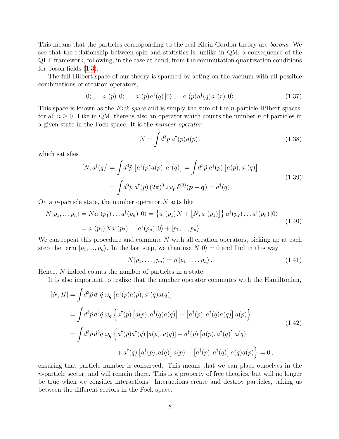This means that the particles corresponding to the real Klein-Gordon theory are bosons. We see that the relationship between spin and statistics is, unlike in QM, a consequence of the QFT framework, following, in the case at hand, from the commutation quantization conditions for boson fields [\(1.3\)](#page-1-2).

The full Hilbert space of our theory is spanned by acting on the vacuum with all possible combinations of creation operators,

$$
|0\rangle, \quad a^{\dagger}(p)|0\rangle, \quad a^{\dagger}(p)a^{\dagger}(q)|0\rangle, \quad a^{\dagger}(p)a^{\dagger}(q)a^{\dagger}(r)|0\rangle, \quad \dots \tag{1.37}
$$

This space is known as the Fock space and is simply the sum of the *n*-particle Hilbert spaces, for all  $n \geq 0$ . Like in QM, there is also an operator which counts the number n of particles in a given state in the Fock space. It is the number operator

$$
N = \int d^3 \tilde{p} \, a^\dagger(p) a(p) \,, \tag{1.38}
$$

<span id="page-7-0"></span>which satisfies

$$
[N, a^{\dagger}(q)] = \int d^3 \tilde{p} \left[ a^{\dagger}(p) a(p), a^{\dagger}(q) \right] = \int d^3 \tilde{p} \, a^{\dagger}(p) \left[ a(p), a^{\dagger}(q) \right]
$$
  
= 
$$
\int d^3 \tilde{p} \, a^{\dagger}(p) \left( 2\pi \right)^3 2\omega_p \, \delta^{(3)}(p - q) = a^{\dagger}(q) \, .
$$
 (1.39)

On a *n*-particle state, the number operator  $N$  acts like

$$
N|p_1,...,p_n\rangle = Na^{\dagger}(p_1)...a^{\dagger}(p_n)|0\rangle = \left\{a^{\dagger}(p_1)N + [N, a^{\dagger}(p_1)]\right\}a^{\dagger}(p_2)...a^{\dagger}(p_n)|0\rangle
$$
  
=  $a^{\dagger}(p_1)Na^{\dagger}(p_2)...a^{\dagger}(p_n)|0\rangle + |p_1,...,p_n\rangle.$  (1.40)

We can repeat this procedure and commute  $N$  with all creation operators, picking up at each step the term  $|p_1, ..., p_n\rangle$ . In the last step, we then use  $N|0\rangle = 0$  and find in this way

$$
N|p_1,\ldots,p_n\rangle = n|p_1,\ldots,p_n\rangle. \tag{1.41}
$$

Hence, N indeed counts the number of particles in a state.

It is also important to realize that the number operator commutes with the Hamiltonian,

$$
[N, H] = \int d^3 \tilde{p} d^3 \tilde{q} \omega_q \left[ a^{\dagger}(p) a(p), a^{\dagger}(q) a(q) \right]
$$
  
\n
$$
= \int d^3 \tilde{p} d^3 \tilde{q} \omega_q \left\{ a^{\dagger}(p) \left[ a(p), a^{\dagger}(q) a(q) \right] + \left[ a^{\dagger}(p), a^{\dagger}(q) a(q) \right] a(p) \right\}
$$
  
\n
$$
= \int d^3 \tilde{p} d^3 \tilde{q} \omega_q \left\{ a^{\dagger}(p) a^{\dagger}(q) \left[ a(p), a(q) \right] + a^{\dagger}(p) \left[ a(p), a^{\dagger}(q) \right] a(q)
$$
  
\n
$$
+ a^{\dagger}(q) \left[ a^{\dagger}(p), a(q) \right] a(p) + \left[ a^{\dagger}(p), a^{\dagger}(q) \right] a(q) a(p) \right\} = 0,
$$
\n(1.42)

ensuring that particle number is conserved. This means that we can place ourselves in the  $n$ -particle sector, and will remain there. This is a property of free theories, but will no longer be true when we consider interactions. Interactions create and destroy particles, taking us between the different sectors in the Fock space.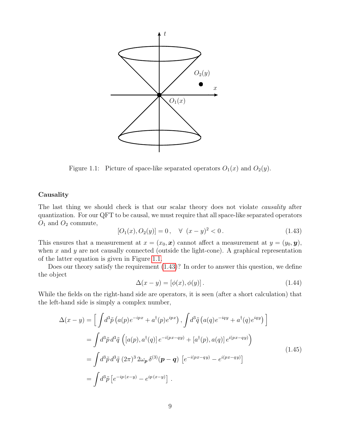

<span id="page-8-0"></span>Figure 1.1: Picture of space-like separated operators  $O_1(x)$  and  $O_2(y)$ .

## Causality

The last thing we should check is that our scalar theory does not violate *causality* after quantization. For our QFT to be causal, we must require that all space-like separated operators  $O_1$  and  $O_2$  commute,

<span id="page-8-1"></span>
$$
[O_1(x), O_2(y)] = 0, \quad \forall \ (x - y)^2 < 0.
$$
 (1.43)

This ensures that a measurement at  $x = (x_0, x)$  cannot affect a measurement at  $y = (y_0, y)$ , when x and y are not causally connected (outside the light-cone). A graphical representation of the latter equation is given in Figure [1.1.](#page-8-0)

Does our theory satisfy the requirement [\(1.43\)](#page-8-1)? In order to answer this question, we define the object

<span id="page-8-2"></span>
$$
\Delta(x - y) = [\phi(x), \phi(y)]. \tag{1.44}
$$

While the fields on the right-hand side are operators, it is seen (after a short calculation) that the left-hand side is simply a complex number,

$$
\Delta(x - y) = \left[ \int d^3 \tilde{p} \left( a(p) e^{-ipx} + a^\dagger(p) e^{ipx} \right), \int d^3 \tilde{q} \left( a(q) e^{-iqy} + a^\dagger(q) e^{iqy} \right) \right]
$$
  
\n
$$
= \int d^3 \tilde{p} d^3 \tilde{q} \left( \left[ a(p), a^\dagger(q) \right] e^{-i(px - qy)} + \left[ a^\dagger(p), a(q) \right] e^{i(px - qy)} \right)
$$
  
\n
$$
= \int d^3 \tilde{p} d^3 \tilde{q} \left( 2\pi \right)^3 2\omega_p \delta^{(3)}(\mathbf{p} - \mathbf{q}) \left[ e^{-i(px - qy)} - e^{i(px - qy)} \right]
$$
  
\n
$$
= \int d^3 \tilde{p} \left[ e^{-ip(x - y)} - e^{ip(x - y)} \right].
$$
\n(1.45)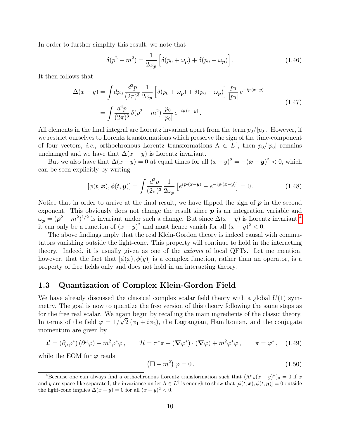In order to further simplify this result, we note that

$$
\delta(p^2 - m^2) = \frac{1}{2\omega_p} \left[ \delta(p_0 + \omega_p) + \delta(p_0 - \omega_p) \right]. \tag{1.46}
$$

It then follows that

$$
\Delta(x - y) = \int dp_0 \frac{d^3 p}{(2\pi)^3} \frac{1}{2\omega_p} \left[ \delta(p_0 + \omega_p) + \delta(p_0 - \omega_p) \right] \frac{p_0}{|p_0|} e^{-ip(x - y)} \n= \int \frac{d^4 p}{(2\pi)^3} \delta(p^2 - m^2) \frac{p_0}{|p_0|} e^{-ip(x - y)}.
$$
\n(1.47)

All elements in the final integral are Lorentz invariant apart from the term  $p_0/|p_0|$ . However, if we restrict ourselves to Lorentz transformations which preserve the sign of the time-component of four vectors, *i.e.*, orthochronous Lorentz transformations  $\Lambda \in L^{\uparrow}$ , then  $p_0/|p_0|$  remains unchanged and we have that  $\Delta(x - y)$  is Lorentz invariant.

But we also have that  $\Delta(x-y) = 0$  at equal times for all  $(x-y)^2 = -(x-y)^2 < 0$ , which can be seen explicitly by writing

$$
[\phi(t, \boldsymbol{x}), \phi(t, \boldsymbol{y})] = \int \frac{d^3 p}{(2\pi)^3} \frac{1}{2\omega_p} \left[ e^{i \boldsymbol{p} \cdot (\boldsymbol{x} - \boldsymbol{y})} - e^{-i \boldsymbol{p} \cdot (\boldsymbol{x} - \boldsymbol{y})} \right] = 0. \tag{1.48}
$$

Notice that in order to arrive at the final result, we have flipped the sign of  $p$  in the second exponent. This obviously does not change the result since  $p$  is an integration variable and  $\omega_{\bf p} = ({\bf p}^2 + m^2)^{1/2}$  is invariant under such a change. But since  $\Delta(x-y)$  is Lorentz invariant,<sup>[4](#page-9-0)</sup> it can only be a function of  $(x - y)^2$  and must hence vanish for all  $(x - y)^2 < 0$ .

The above findings imply that the real Klein-Gordon theory is indeed causal with commutators vanishing outside the light-cone. This property will continue to hold in the interacting theory. Indeed, it is usually given as one of the axioms of local QFTs. Let me mention, however, that the fact that  $[\phi(x), \phi(y)]$  is a complex function, rather than an operator, is a property of free fields only and does not hold in an interacting theory.

## 1.3 Quantization of Complex Klein-Gordon Field

We have already discussed the classical complex scalar field theory with a global  $U(1)$  symmetry. The goal is now to quantize the free version of this theory following the same steps as for the free real scalar. We again begin by recalling the main ingredients of the classic theory. In terms of the field  $\varphi = 1/\sqrt{2 (\phi_1 + i \phi_2)}$ , the Lagrangian, Hamiltonian, and the conjugate momentum are given by

<span id="page-9-2"></span>
$$
\mathcal{L} = (\partial_{\mu}\varphi^*) (\partial^{\mu}\varphi) - m^2 \varphi^* \varphi, \qquad \mathcal{H} = \pi^* \pi + (\nabla \varphi^*) \cdot (\nabla \varphi) + m^2 \varphi^* \varphi, \qquad \pi = \dot{\varphi}^*, \quad (1.49)
$$

while the EOM for  $\varphi$  reads

<span id="page-9-1"></span>
$$
(\Box + m^2)\varphi = 0. \qquad (1.50)
$$

<span id="page-9-0"></span><sup>&</sup>lt;sup>4</sup>Because one can always find a orthochronous Lorentz transformation such that  $(\Lambda^{\mu}{}_{\nu}(x-y)^{\nu})_0 = 0$  if x and y are space-like separated, the invariance under  $\Lambda \in L^{\uparrow}$  is enough to show that  $[\phi(t, x), \phi(t, y)] = 0$  outside the light-cone implies  $\Delta(x - y) = 0$  for all  $(x - y)^2 < 0$ .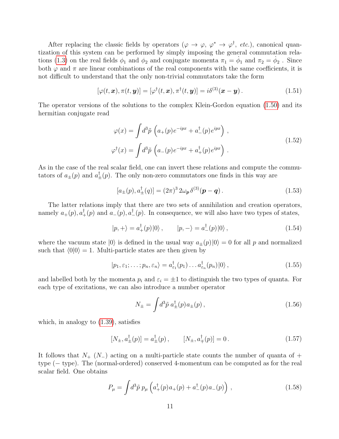After replacing the classic fields by operators  $(\varphi \to \varphi, \varphi^* \to \varphi^{\dagger}, etc.),$  canonical quantization of this system can be performed by simply imposing the general commutation rela-tions [\(1.3\)](#page-1-2) on the real fields  $\phi_1$  and  $\phi_2$  and conjugate momenta  $\pi_1 = \dot{\phi}_1$  and  $\pi_2 = \dot{\phi}_2$ . Since both  $\varphi$  and  $\pi$  are linear combinations of the real components with the same coefficients, it is not difficult to understand that the only non-trivial commutators take the form

$$
[\varphi(t, \boldsymbol{x}), \pi(t, \boldsymbol{y})] = [\varphi^{\dagger}(t, \boldsymbol{x}), \pi^{\dagger}(t, \boldsymbol{y})] = i\delta^{(3)}(\boldsymbol{x} - \boldsymbol{y}). \qquad (1.51)
$$

The operator versions of the solutions to the complex Klein-Gordon equation [\(1.50\)](#page-9-1) and its hermitian conjugate read

$$
\varphi(x) = \int d^3 \tilde{p} \left( a_+(p) e^{-ipx} + a_-^{\dagger}(p) e^{ipx} \right) ,
$$
  

$$
\varphi^{\dagger}(x) = \int d^3 \tilde{p} \left( a_-(p) e^{-ipx} + a_+^{\dagger}(p) e^{ipx} \right) .
$$
 (1.52)

<span id="page-10-0"></span>As in the case of the real scalar field, one can invert these relations and compute the commutators of  $a_{\pm}(p)$  and  $a_{\pm}^{\dagger}(p)$ . The only non-zero commutators one finds in this way are

$$
[a_{\pm}(p), a_{\pm}^{\dagger}(q)] = (2\pi)^3 \, 2\omega_p \, \delta^{(3)}(p-q) \,. \tag{1.53}
$$

The latter relations imply that there are two sets of annihilation and creation operators, namely  $a_+(p), a_+^{\dagger}(p)$  and  $a_-(p), a_-^{\dagger}(p)$ . In consequence, we will also have two types of states,

$$
|p, +\rangle = a_+^{\dagger}(p)|0\rangle, \qquad |p, -\rangle = a_-^{\dagger}(p)|0\rangle, \qquad (1.54)
$$

where the vacuum state  $|0\rangle$  is defined in the usual way  $a_{\pm}(p)|0\rangle = 0$  for all p and normalized such that  $\langle 0|0 \rangle = 1$ . Multi-particle states are then given by

$$
|p_1, \varepsilon_1; \dots; p_n, \varepsilon_n\rangle = a^{\dagger}_{\varepsilon_1}(p_1) \dots a^{\dagger}_{\varepsilon_n}(p_n)|0\rangle, \qquad (1.55)
$$

and labelled both by the momenta  $p_i$  and  $\varepsilon_i = \pm 1$  to distinguish the two types of quanta. For each type of excitations, we can also introduce a number operator

$$
N_{\pm} = \int d^3 \tilde{p} \ a_{\pm}^{\dagger}(p) a_{\pm}(p) \,, \tag{1.56}
$$

which, in analogy to [\(1.39\)](#page-7-0), satisfies

$$
[N_{\pm}, a_{\pm}^{\dagger}(p)] = a_{\pm}^{\dagger}(p), \qquad [N_{\pm}, a_{\mp}^{\dagger}(p)] = 0. \qquad (1.57)
$$

It follows that  $N_{+}$  ( $N_{-}$ ) acting on a multi-particle state counts the number of quanta of + type (− type). The (normal-ordered) conserved 4-momentum can be computed as for the real scalar field. One obtains

$$
P_{\mu} = \int d^3 \tilde{p} \; p_{\mu} \left( a^{\dagger}_{+}(p) \, a_{+}(p) + a^{\dagger}_{-}(p) \, a_{-}(p) \right) \,, \tag{1.58}
$$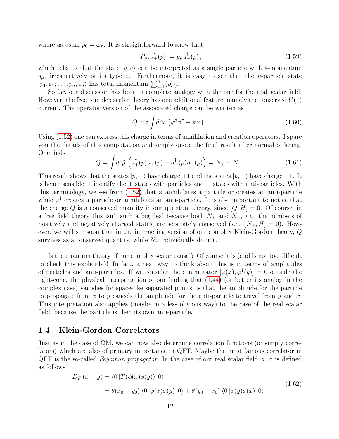where as usual  $p_0 = \omega_p$ . It is straightforward to show that

$$
[P_{\mu}, a_{\pm}^{\dagger}(p)] = p_{\mu} a_{\pm}^{\dagger}(p) , \qquad (1.59)
$$

which tells us that the state  $|q, \varepsilon\rangle$  can be interpreted as a single particle with 4-momentum  $q_{\mu}$ , irrespectively of its type  $\varepsilon$ . Furthermore, it is easy to see that the *n*-particle state  $|p_1, \varepsilon_1; \ldots; p_n, \varepsilon_n\rangle$  has total momentum  $\sum_{i=1}^n (p_i)_{\mu}$ .

So far, our discussion has been in complete analogy with the one for the real scalar field. However, the free complex scalar theory has one additional feature, namely the conserved  $U(1)$ current. The operator version of the associated charge can be written as

$$
Q = i \int d^3x \, \left( \varphi^\dagger \pi^\dagger - \pi \varphi \right) \,. \tag{1.60}
$$

Using [\(1.52\)](#page-10-0) one can express this charge in terms of annihlation and creation operators. I spare you the details of this computation and simply quote the final result after normal ordering. One finds

$$
Q = \int d^3 \tilde{p} \left( a_+^{\dagger}(p) a_+(p) - a_-^{\dagger}(p) a_-(p) \right) = N_+ - N_-\,. \tag{1.61}
$$

This result shows that the states  $|p, +\rangle$  have charge +1 and the states  $|p, -\rangle$  have charge −1. It is hence sensible to identify the + states with particles and − states with anti-particles. With this terminology, we see from  $(1.52)$  that  $\varphi$  annihilates a particle or creates an anti-particle while  $\varphi^{\dagger}$  creates a particle or annihilates an anti-particle. It is also important to notice that the charge Q is a conserved quantity in our quantum theory, since  $[Q, H] = 0$ . Of course, in a free field theory this isn't such a big deal because both  $N_+$  and  $N_-, i.e.,$  the numbers of positively and negatively charged states, are separately conserved (*i.e.*,  $[N_{\pm}, H] = 0$ ). However, we will see soon that in the interacting version of our complex Klein-Gordon theory, Q survives as a conserved quantity, while  $N_{\pm}$  individually do not.

Is the quantum theory of our complex scalar causal? Of course it is (and is not too difficult to check this explicitly)! In fact, a neat way to think about this is in terms of amplitudes of particles and anti-particles. If we consider the commutator  $[\varphi(x), \varphi^{\dagger}(y)] = 0$  outside the light-cone, the physical interpretation of our finding that [\(1.44\)](#page-8-2) (or better its analog in the complex case) vanishes for space-like separated points, is that the amplitude for the particle to propagate from x to y cancels the amplitude for the anti-particle to travel from y and x. This interpretation also applies (maybe in a less obvious way) to the case of the real scalar field, because the particle is then its own anti-particle.

## 1.4 Klein-Gordon Correlators

Just as in the case of QM, we can now also determine correlation functions (or simply correlators) which are also of primary importance in QFT. Maybe the most famous correlator in QFT is the so-called Feynman propagator. In the case of our real scalar field  $\phi$ , it is defined as follows

$$
D_F(x - y) = \langle 0 | T(\phi(x)\phi(y)) | 0 \rangle
$$
  
=  $\theta(x_0 - y_0) \langle 0 | \phi(x)\phi(y) | 0 \rangle + \theta(y_0 - x_0) \langle 0 | \phi(y)\phi(x) | 0 \rangle$ . (1.62)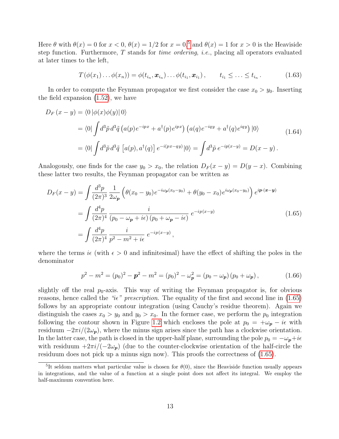Here  $\theta$  with  $\theta(x) = 0$  for  $x < 0$ ,  $\theta(x) = 1/2$  for  $x = 0$ ,<sup>[5](#page-12-0)</sup> and  $\theta(x) = 1$  for  $x > 0$  is the Heaviside step function. Furthermore, T stands for time ordering, i.e., placing all operators evaluated at later times to the left,

$$
T(\phi(x_1)\dots\phi(x_n))=\phi(t_{i_n},\boldsymbol{x}_{i_n})\dots\phi(t_{i_1},\boldsymbol{x}_{i_1}),\qquad t_{i_1}\leq\ldots\leq t_{i_n}.
$$
 (1.63)

In order to compute the Feynman propagator we first consider the case  $x_0 > y_0$ . Inserting the field expansion [\(1.52\)](#page-10-0), we have

$$
D_F(x - y) = \langle 0 | \phi(x)\phi(y) | 0 \rangle
$$
  
=  $\langle 0 | \int d^3 \tilde{p} d^3 \tilde{q} (a(p)e^{-ipx} + a^{\dagger}(p)e^{ipx}) (a(q)e^{-iqy} + a^{\dagger}(q)e^{iqy}) | 0 \rangle$   
=  $\langle 0 | \int d^3 \tilde{p} d^3 \tilde{q} [a(p), a^{\dagger}(q)] e^{-i(px - qy)} | 0 \rangle = \int d^3 \tilde{p} e^{-ip(x - y)} = D(x - y).$  (1.64)

Analogously, one finds for the case  $y_0 > x_0$ , the relation  $D_F(x - y) = D(y - x)$ . Combining these latter two results, the Feynman propagator can be written as

<span id="page-12-1"></span>
$$
D_F(x - y) = \int \frac{d^3 p}{(2\pi)^3} \frac{1}{2\omega_p} \left( \theta(x_0 - y_0) e^{-i\omega_p(x_0 - y_0)} + \theta(y_0 - x_0) e^{i\omega_p(x_0 - y_0)} \right) e^{ip \cdot (x - y)}
$$
  
= 
$$
\int \frac{d^4 p}{(2\pi)^4} \frac{i}{(p_0 - \omega_p + i\epsilon) (p_0 + \omega_p - i\epsilon)} e^{-ip(x - y)}
$$
(1.65)  
= 
$$
\int \frac{d^4 p}{(2\pi)^4} \frac{i}{p^2 - m^2 + i\epsilon} e^{-ip(x - y)},
$$

where the terms  $i\epsilon$  (with  $\epsilon > 0$  and infinitesimal) have the effect of shifting the poles in the denominator

$$
p^{2} - m^{2} = (p_{0})^{2} - \mathbf{p}^{2} - m^{2} = (p_{0})^{2} - \omega_{\mathbf{p}}^{2} = (p_{0} - \omega_{\mathbf{p}}) (p_{0} + \omega_{\mathbf{p}}), \qquad (1.66)
$$

slightly off the real  $p_0$ -axis. This way of writing the Feynman propagator is, for obvious reasons, hence called the "ie" prescription. The equality of the first and second line in  $(1.65)$ follows by an appropriate contour integration (using Cauchy's residue theorem). Again we distinguish the cases  $x_0 > y_0$  and  $y_0 > x_0$ . In the former case, we perform the  $p_0$  integration following the contour shown in Figure [1.2](#page-13-0) which encloses the pole at  $p_0 = +\omega_p - i\epsilon$  with residuum  $-2\pi i/(2\omega_p)$ , where the minus sign arises since the path has a clockwise orientation. In the latter case, the path is closed in the upper-half plane, surrounding the pole  $p_0 = -\omega_p + i\epsilon$ with residuum  $+2\pi i/(-2\omega_p)$  (due to the counter-clockwise orientation of the half-circle the residuum does not pick up a minus sign now). This proofs the correctness of [\(1.65\)](#page-12-1).

<span id="page-12-0"></span><sup>&</sup>lt;sup>5</sup>It seldom matters what particular value is chosen for  $\theta(0)$ , since the Heaviside function usually appears in integrations, and the value of a function at a single point does not affect its integral. We employ the half-maximum convention here.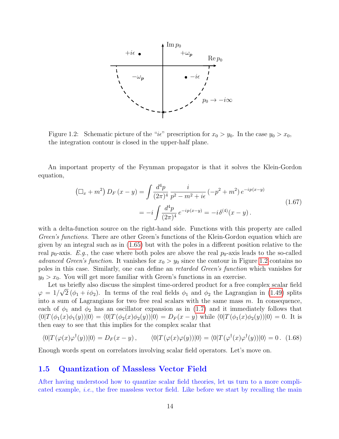

<span id="page-13-0"></span>Figure 1.2: Schematic picture of the "ie" prescription for  $x_0 > y_0$ . In the case  $y_0 > x_0$ , the integration contour is closed in the upper-half plane.

An important property of the Feynman propagator is that it solves the Klein-Gordon equation,

$$
\left(\Box_x + m^2\right) D_F\left(x - y\right) = \int \frac{d^4p}{(2\pi)^4} \frac{i}{p^2 - m^2 + i\epsilon} \left(-p^2 + m^2\right) e^{-ip(x-y)} \n= -i \int \frac{d^4p}{(2\pi)^4} e^{-ip(x-y)} = -i\delta^{(4)}(x - y).
$$
\n(1.67)

with a delta-function source on the right-hand side. Functions with this property are called Green's functions. There are other Green's functions of the Klein-Gordon equation which are given by an integral such as in [\(1.65\)](#page-12-1) but with the poles in a different position relative to the real  $p_0$ -axis. E.g., the case where both poles are above the real  $p_0$ -axis leads to the so-called advanced Green's function. It vanishes for  $x_0 > y_0$  since the contour in Figure [1.2](#page-13-0) contains no poles in this case. Similarly, one can define an retarded Green's function which vanishes for  $y_0 > x_0$ . You will get more familiar with Green's functions in an exercise.

Let us briefly also discuss the simplest time-ordered product for a free complex scalar field  $\varphi = 1/\sqrt{2} (\phi_1 + i \phi_2)$ . In terms of the real fields  $\phi_1$  and  $\phi_2$  the Lagrangian in [\(1.49\)](#page-9-2) splits into a sum of Lagrangians for two free real scalars with the same mass  $m$ . In consequence, each of  $\phi_1$  and  $\phi_2$  has an oscillator expansion as in [\(1.7\)](#page-2-3) and it immediately follows that  $\langle 0|T(\phi_1(x)\phi_1(y))|0\rangle = \langle 0|T(\phi_2(x)\phi_2(y))|0\rangle = D_F(x - y)$  while  $\langle 0|T(\phi_1(x)\phi_2(y))|0\rangle = 0$ . It is then easy to see that this implies for the complex scalar that

$$
\langle 0|T(\varphi(x)\varphi^{\dagger}(y))|0\rangle = D_F(x-y), \qquad \langle 0|T(\varphi(x)\varphi(y))|0\rangle = \langle 0|T(\varphi^{\dagger}(x)\varphi^{\dagger}(y))|0\rangle = 0. \tag{1.68}
$$

Enough words spent on correlators involving scalar field operators. Let's move on.

## 1.5 Quantization of Massless Vector Field

After having understood how to quantize scalar field theories, let us turn to a more complicated example, *i.e.*, the free massless vector field. Like before we start by recalling the main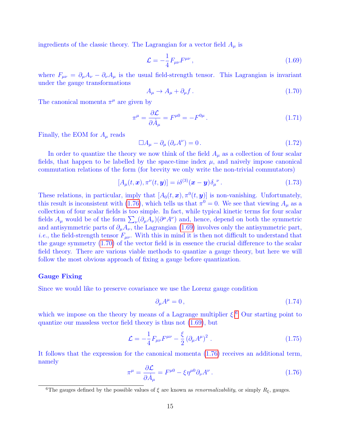ingredients of the classic theory. The Lagrangian for a vector field  $A_\mu$  is

<span id="page-14-1"></span>
$$
\mathcal{L} = -\frac{1}{4} F_{\mu\nu} F^{\mu\nu} \,, \tag{1.69}
$$

where  $F_{\mu\nu} = \partial_{\mu}A_{\nu} - \partial_{\nu}A_{\mu}$  is the usual field-strength tensor. This Lagrangian is invariant under the gauge transformations

<span id="page-14-2"></span>
$$
A_{\mu} \to A_{\mu} + \partial_{\mu} f. \tag{1.70}
$$

The canonical momenta  $\pi^{\mu}$  are given by

$$
\pi^{\mu} = \frac{\partial \mathcal{L}}{\partial \dot{A}_{\mu}} = F^{\mu 0} = -F^{0\mu} \,. \tag{1.71}
$$

Finally, the EOM for  $A_\mu$  reads

$$
\Box A_{\mu} - \partial_{\mu} (\partial_{\nu} A^{\nu}) = 0. \qquad (1.72)
$$

In order to quantize the theory we now think of the field  $A_\mu$  as a collection of four scalar fields, that happen to be labelled by the space-time index  $\mu$ , and naively impose canonical commutation relations of the form (for brevity we only write the non-trivial commutators)

<span id="page-14-6"></span>
$$
[A_{\mu}(t,\boldsymbol{x}),\pi^{\nu}(t,\boldsymbol{y})] = i\delta^{(3)}(\boldsymbol{x}-\boldsymbol{y})\delta_{\mu}^{\ \nu}.
$$
\n(1.73)

These relations, in particular, imply that  $[A_0(t, x), \pi^0(t, y)]$  is non-vanishing. Unfortunately, this result is inconsistent with [\(1.76\)](#page-14-0), which tells us that  $\pi^0 = 0$ . We see that viewing  $A_\mu$  as a collection of four scalar fields is too simple. In fact, while typical kinetic terms for four scalar fields  $A_\mu$  would be of the form  $\sum_{\nu} (\partial_\mu A_\nu)(\partial^\mu A^\nu)$  and, hence, depend on both the symmetric and antisymmetric parts of  $\partial_{\mu}A_{\nu}$ , the Lagrangian [\(1.69\)](#page-14-1) involves only the antisymmetric part, *i.e.*, the field-strength tensor  $F_{\mu\nu}$ . With this in mind it is then not difficult to understand that the gauge symmetry [\(1.70\)](#page-14-2) of the vector field is in essence the crucial difference to the scalar field theory. There are various viable methods to quantize a gauge theory, but here we will follow the most obvious approach of fixing a gauge before quantization.

#### Gauge Fixing

Since we would like to preserve covariance we use the Lorenz gauge condition

<span id="page-14-4"></span>
$$
\partial_{\mu}A^{\mu} = 0, \qquad (1.74)
$$

which we impose on the theory by means of a Lagrange multiplier  $\xi$ <sup>[6](#page-14-3)</sup>. Our starting point to quantize our massless vector field theory is thus not [\(1.69\)](#page-14-1), but

<span id="page-14-5"></span>
$$
\mathcal{L} = -\frac{1}{4} F_{\mu\nu} F^{\mu\nu} - \frac{\xi}{2} (\partial_{\mu} A^{\mu})^2 . \qquad (1.75)
$$

It follows that the expression for the canonical momenta [\(1.76\)](#page-14-0) receives an additional term, namely

<span id="page-14-0"></span>
$$
\pi^{\mu} = \frac{\partial \mathcal{L}}{\partial \dot{A}_{\mu}} = F^{\mu 0} - \xi \eta^{\mu 0} \partial_{\nu} A^{\nu} . \tag{1.76}
$$

<span id="page-14-3"></span><sup>&</sup>lt;sup>6</sup>The gauges defined by the possible values of  $\xi$  are known as *renormalizability*, or simply  $R_{\xi}$ , gauges.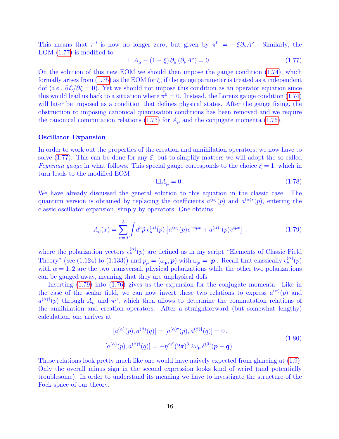This means that  $\pi^0$  is now no longer zero, but given by  $\pi^0 = -\xi \partial_\nu A^\nu$ . Similarly, the EOM [\(1.77\)](#page-15-0) is modified to

<span id="page-15-0"></span>
$$
\Box A_{\mu} - (1 - \xi) \, \partial_{\mu} \left( \partial_{\nu} A^{\nu} \right) = 0 \,. \tag{1.77}
$$

On the solution of this new EOM we should then impose the gauge condition [\(1.74\)](#page-14-4), which formally arises from  $(1.75)$  as the EOM for  $\xi$ , if the gauge parameter is treated as a independent dof (*i.e.*,  $\partial \mathcal{L}/\partial \xi = 0$ ). Yet we should not impose this condition as an operator equation since this would lead us back to a situation where  $\pi^0 = 0$ . Instead, the Lorenz gauge condition [\(1.74\)](#page-14-4) will later be imposed as a condition that defines physical states. After the gauge fixing, the obstruction to imposing canonical quantisation conditions has been removed and we require the canonical commutation relations [\(1.73\)](#page-14-6) for  $A_\mu$  and the conjugate momenta [\(1.76\)](#page-14-0).

#### Oscillator Expansion

In order to work out the properties of the creation and annihilation operators, we now have to solve [\(1.77\)](#page-15-0). This can be done for any  $\xi$ , but to simplify matters we will adopt the so-called Feynman gauge in what follows. This special gauge corresponds to the choice  $\xi = 1$ , which in turn leads to the modified EOM

$$
\Box A_{\mu} = 0. \tag{1.78}
$$

We have already discussed the general solution to this equation in the classic case. The quantum version is obtained by replacing the coefficients  $a^{(\alpha)}(p)$  and  $a^{(\alpha)*}(p)$ , entering the classic oscillator expansion, simply by operators. One obtains

<span id="page-15-1"></span>
$$
A_{\mu}(x) = \sum_{\alpha=0}^{3} \int d^3 \tilde{p} \epsilon_{\mu}^{(\alpha)}(p) \left[ a^{(\alpha)}(p) e^{-ipx} + a^{(\alpha)\dagger}(p) e^{ipx} \right], \qquad (1.79)
$$

where the polarization vectors  $\epsilon_{\mu}^{(\alpha)}(p)$  are defined as in my script "Elements of Classic Field" Theory" (see (1.124) to (1.133)) and  $p_{\mu} = (\omega_p, p)$  with  $\omega_p = |p|$ . Recall that classically  $\epsilon_{\mu}^{(\alpha)}(p)$ with  $\alpha = 1, 2$  are the two transversal, physical polarizations while the other two polarizations can be gauged away, meaning that they are unphysical dofs.

Inserting [\(1.79\)](#page-15-1) into [\(1.76\)](#page-14-0) gives us the expansion for the conjugate momenta. Like in the case of the scalar field, we can now invert these two relations to express  $a^{(\alpha)}(p)$  and  $a^{(\alpha)\dagger}(p)$  through  $A_\mu$  and  $\pi^\mu$ , which then allows to determine the commutation relations of the annihilation and creation operators. After a straightforward (but somewhat lengthy) calculation, one arrives at

$$
[a^{(\alpha)}(p), a^{(\beta)}(q)] = [a^{(\alpha)\dagger}(p), a^{(\beta)\dagger}(q)] = 0,
$$
  
\n
$$
[a^{(\alpha)}(p), a^{(\beta)\dagger}(q)] = -\eta^{\alpha\beta}(2\pi)^3 2\omega_p \delta^{(3)}(p-q).
$$
\n(1.80)

<span id="page-15-2"></span>These relations look pretty much like one would have naively expected from glancing at [\(1.9\)](#page-2-0). Only the overall minus sign in the second expression looks kind of weird (and potentially troublesome). In order to understand its meaning we have to investigate the structure of the Fock space of our theory.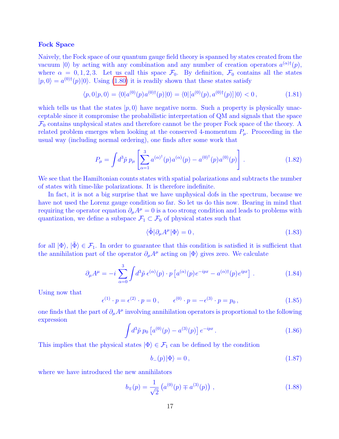### Fock Space

Naively, the Fock space of our quantum gauge field theory is spanned by states created from the vacuum (0) by acting with any combination and any number of creation operators  $a^{(\alpha)\dagger}(p)$ , where  $\alpha = 0, 1, 2, 3$ . Let us call this space  $\mathcal{F}_0$ . By definition,  $\mathcal{F}_0$  contains all the states  $|p,0\rangle = a^{(0)\dagger}(p)|0\rangle$ . Using [\(1.80\)](#page-15-2) it is readily shown that these states satisfy

$$
\langle p, 0 | p, 0 \rangle = \langle 0 | a^{(0)}(p) a^{(0) \dagger}(p) | 0 \rangle = \langle 0 | [a^{(0)}(p), a^{(0) \dagger}(p)] | 0 \rangle < 0, \tag{1.81}
$$

which tells us that the states  $|p, 0\rangle$  have negative norm. Such a property is physically unacceptable since it compromise the probabilistic interpretation of QM and signals that the space  $\mathcal{F}_0$  contains unphysical states and therefore cannot be the proper Fock space of the theory. A related problem emerges when looking at the conserved 4-momentum  $P_\mu$ . Proceeding in the usual way (including normal ordering), one finds after some work that

<span id="page-16-1"></span>
$$
P_{\mu} = \int d^3 \tilde{p} \; p_{\mu} \left[ \sum_{\alpha=1}^3 a^{(\alpha)\dagger}(p) a^{(\alpha)}(p) - a^{(0)\dagger}(p) a^{(0)}(p) \right] \,. \tag{1.82}
$$

We see that the Hamiltonian counts states with spatial polarizations and subtracts the number of states with time-like polarizations. It is therefore indefinite.

In fact, it is not a big surprise that we have unphysical dofs in the spectrum, because we have not used the Lorenz gauge condition so far. So let us do this now. Bearing in mind that requiring the operator equation  $\partial_{\mu}A^{\mu} = 0$  is a too strong condition and leads to problems with quantization, we define a subspace  $\mathcal{F}_1 \subset \mathcal{F}_0$  of physical states such that

$$
\langle \tilde{\Phi} | \partial_{\mu} A^{\mu} | \Phi \rangle = 0, \qquad (1.83)
$$

for all  $|\Phi\rangle$ ,  $|\tilde{\Phi}\rangle \in \mathcal{F}_1$ . In order to guarantee that this condition is satisfied it is sufficient that the annihilation part of the operator  $\partial_{\mu}A^{\mu}$  acting on  $|\Phi\rangle$  gives zero. We calculate

$$
\partial_{\mu}A^{\mu} = -i \sum_{\alpha=0}^{3} \int d^{3}\tilde{p} \epsilon^{(\alpha)}(p) \cdot p \left[ a^{(\alpha)}(p) e^{-ipx} - a^{(\alpha)\dagger}(p) e^{ipx} \right]. \tag{1.84}
$$

Using now that

$$
\epsilon^{(1)} \cdot p = \epsilon^{(2)} \cdot p = 0, \qquad \epsilon^{(0)} \cdot p = -\epsilon^{(3)} \cdot p = p_0, \qquad (1.85)
$$

one finds that the part of  $\partial_{\mu}A^{\mu}$  involving annihilation operators is proportional to the following expression

$$
\int d^3 \tilde{p} \; p_0 \left[ a^{(0)}(p) - a^{(3)}(p) \right] e^{-ipx} \,. \tag{1.86}
$$

This implies that the physical states  $|\Phi\rangle \in \mathcal{F}_1$  can be defined by the condition

<span id="page-16-0"></span>
$$
b_{-}(p)|\Phi\rangle = 0, \qquad (1.87)
$$

where we have introduced the new annihilators

<span id="page-16-2"></span>
$$
b_{\mp}(p) = \frac{1}{\sqrt{2}} \left( a^{(0)}(p) \mp a^{(3)}(p) \right) , \qquad (1.88)
$$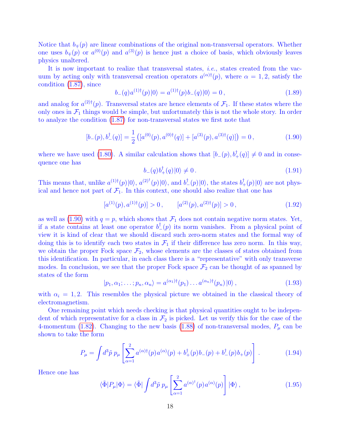Notice that  $b_{\pm}(p)$  are linear combinations of the original non-transversal operators. Whether one uses  $b_{\pm}(p)$  or  $a^{(0)}(p)$  and  $a^{(3)}(p)$  is hence just a choice of basis, which obviously leaves physics unaltered.

It is now important to realize that transversal states, *i.e.*, states created from the vacuum by acting only with transversal creation operators  $a^{(\alpha)\dagger}(p)$ , where  $\alpha = 1, 2$ , satisfy the condition [\(1.87\)](#page-16-0), since

$$
b_{-}(q) a^{(1)\dagger}(p) |0\rangle = a^{(1)\dagger}(p) b_{-}(q) |0\rangle = 0, \qquad (1.89)
$$

and analog for  $a^{(2)\dagger}(p)$ . Transversal states are hence elements of  $\mathcal{F}_1$ . If these states where the only ones in  $\mathcal{F}_1$  things would be simple, but unfortunately this is not the whole story. In order to analyze the condition [\(1.87\)](#page-16-0) for non-transversal states we first note that

<span id="page-17-0"></span>
$$
[b_{-}(p), b_{-}^{\dagger}(q)] = \frac{1}{2} ([a^{(0)}(p), a^{(0)\dagger}(q)] + [a^{(3)}(p), a^{(3)\dagger}(q)] = 0, \qquad (1.90)
$$

where we have used [\(1.80\)](#page-15-2). A similar calculation shows that  $[b_-(p), b_+^{\dagger}(q)] \neq 0$  and in consequence one has

$$
b_{-}(q)b_{+}^{\dagger}(q)|0\rangle \neq 0.
$$
\n(1.91)

This means that, unlike  $a^{(1)\dagger}(p)|0\rangle$ ,  $a^{(2)\dagger}(p)|0\rangle$ , and  $b^{\dagger}_{-}(p)|0\rangle$ , the states  $b^{\dagger}_{+}(p)|0\rangle$  are not physical and hence not part of  $\mathcal{F}_1$ . In this context, one should also realize that one has

$$
[a^{(1)}(p), a^{(1)\dagger}(p)] > 0, \qquad [a^{(2)}(p), a^{(2)\dagger}(p)] > 0, \qquad (1.92)
$$

as well as [\(1.90\)](#page-17-0) with  $q = p$ , which shows that  $\mathcal{F}_1$  does not contain negative norm states. Yet, if a state contains at least one operator  $b_{-}^{\dagger}(p)$  its norm vanishes. From a physical point of view it is kind of clear that we should discard such zero-norm states and the formal way of doing this is to identify each two states in  $\mathcal{F}_1$  if their difference has zero norm. In this way, we obtain the proper Fock space  $\mathcal{F}_2$ , whose elements are the classes of states obtained from this identification. In particular, in each class there is a "representative" with only transverse modes. In conclusion, we see that the proper Fock space  $\mathcal{F}_2$  can be thought of as spanned by states of the form  $\mathbb{R}^2$ 

$$
|p_1, \alpha_1; \dots; p_n, \alpha_n\rangle = a^{(\alpha_1)\dagger}(p_1) \dots a^{(\alpha_n)\dagger}(p_n) |0\rangle , \qquad (1.93)
$$

with  $\alpha_i = 1, 2$ . This resembles the physical picture we obtained in the classical theory of electromagnetism.

One remaining point which needs checking is that physical quantities ought to be independent of which representative for a class in  $\mathcal{F}_2$  is picked. Let us verify this for the case of the 4-momentum [\(1.82\)](#page-16-1). Changing to the new basis [\(1.88\)](#page-16-2) of non-transversal modes,  $P_\mu$  can be shown to take the form

<span id="page-17-1"></span>
$$
P_{\mu} = \int d^3 \tilde{p} \; p_{\mu} \left[ \sum_{\alpha=1}^2 a^{(\alpha)\dagger}(p) a^{(\alpha)}(p) + b_+^{\dagger}(p) b_-(p) + b_-^{\dagger}(p) b_+(p) \right]. \tag{1.94}
$$

Hence one has

<span id="page-17-2"></span>
$$
\langle \tilde{\Phi} | P_{\mu} | \Phi \rangle = \langle \tilde{\Phi} | \int d^3 \tilde{p} \, p_{\mu} \left[ \sum_{\alpha=1}^2 a^{(\alpha)^\dagger}(p) a^{(\alpha)}(p) \right] | \Phi \rangle \,, \tag{1.95}
$$